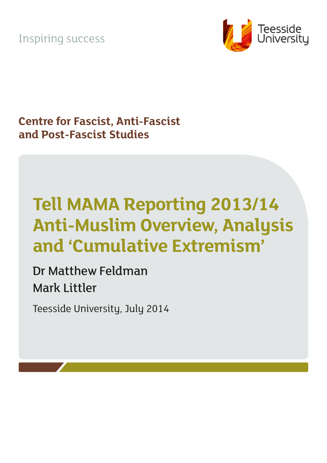Inspiring success



**Centre for Fascist, Anti-Fascist and Post-Fascist Studies**

# **Tell MAMA Reporting 2013/14 Anti-Muslim Overview, Analysis and 'Cumulative Extremism'**

Dr Matthew Feldman Mark Littler

Teesside University, July 2014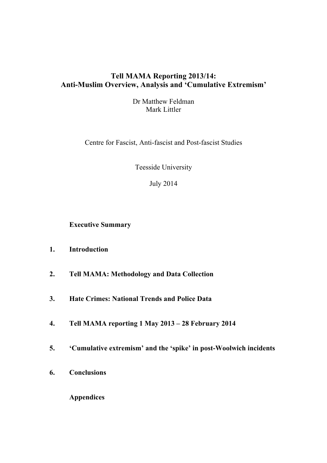## **Tell MAMA Reporting 2013/14: Anti-Muslim Overview, Analysis and 'Cumulative Extremism'**

Dr Matthew Feldman Mark Littler

Centre for Fascist, Anti-fascist and Post-fascist Studies

Teesside University

July 2014

**Executive Summary**

- **1. Introduction**
- **2. Tell MAMA: Methodology and Data Collection**
- **3. Hate Crimes: National Trends and Police Data**
- **4. Tell MAMA reporting 1 May 2013 – 28 February 2014**
- **5. 'Cumulative extremism' and the 'spike' in post-Woolwich incidents**
- **6. Conclusions**

**Appendices**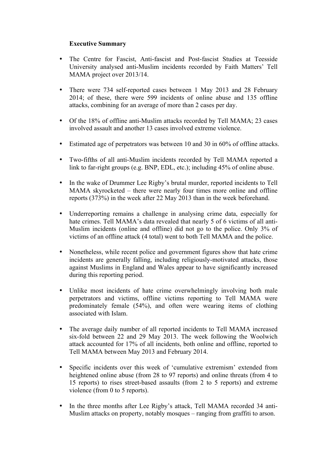## **Executive Summary**

- The Centre for Fascist, Anti-fascist and Post-fascist Studies at Teesside University analysed anti-Muslim incidents recorded by Faith Matters' Tell MAMA project over 2013/14.
- There were 734 self-reported cases between 1 May 2013 and 28 February 2014; of these, there were 599 incidents of online abuse and 135 offline attacks, combining for an average of more than 2 cases per day.
- Of the 18% of offline anti-Muslim attacks recorded by Tell MAMA; 23 cases involved assault and another 13 cases involved extreme violence.
- Estimated age of perpetrators was between 10 and 30 in 60% of offline attacks.
- Two-fifths of all anti-Muslim incidents recorded by Tell MAMA reported a link to far-right groups (e.g. BNP, EDL, etc.); including 45% of online abuse.
- In the wake of Drummer Lee Rigby's brutal murder, reported incidents to Tell MAMA skyrocketed – there were nearly four times more online and offline reports (373%) in the week after 22 May 2013 than in the week beforehand.
- Underreporting remains a challenge in analysing crime data, especially for hate crimes. Tell MAMA's data revealed that nearly 5 of 6 victims of all anti-Muslim incidents (online and offline) did not go to the police. Only 3% of victims of an offline attack (4 total) went to both Tell MAMA and the police.
- Nonetheless, while recent police and government figures show that hate crime incidents are generally falling, including religiously-motivated attacks, those against Muslims in England and Wales appear to have significantly increased during this reporting period.
- Unlike most incidents of hate crime overwhelmingly involving both male perpetrators and victims, offline victims reporting to Tell MAMA were predominately female (54%), and often were wearing items of clothing associated with Islam.
- The average daily number of all reported incidents to Tell MAMA increased six-fold between 22 and 29 May 2013. The week following the Woolwich attack accounted for 17% of all incidents, both online and offline, reported to Tell MAMA between May 2013 and February 2014.
- Specific incidents over this week of 'cumulative extremism' extended from heightened online abuse (from 28 to 97 reports) and online threats (from 4 to 15 reports) to rises street-based assaults (from 2 to 5 reports) and extreme violence (from 0 to 5 reports).
- In the three months after Lee Rigby's attack, Tell MAMA recorded 34 anti-Muslim attacks on property, notably mosques – ranging from graffiti to arson.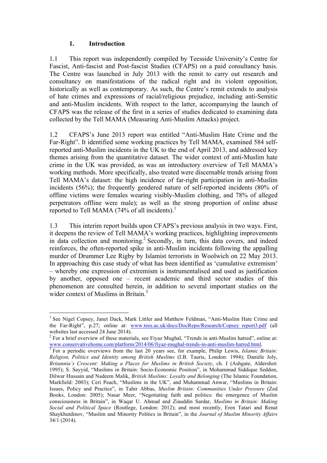## **1. Introduction**

1.1 This report was independently compiled by Teesside University's Centre for Fascist, Anti-fascist and Post-fascist Studies (CFAPS) on a paid consultancy basis. The Centre was launched in July 2013 with the remit to carry out research and consultancy on manifestations of the radical right and its violent opposition, historically as well as contemporary. As such, the Centre's remit extends to analysis of hate crimes and expressions of racial/religious prejudice, including anti-Semitic and anti-Muslim incidents. With respect to the latter, accompanying the launch of CFAPS was the release of the first in a series of studies dedicated to examining data collected by the Tell MAMA (Measuring Anti-Muslim Attacks) project.

1.2 CFAPS's June 2013 report was entitled "Anti-Muslim Hate Crime and the Far-Right". It identified some working practices by Tell MAMA, examined 584 selfreported anti-Muslim incidents in the UK to the end of April 2013, and addressed key themes arising from the quantitative dataset. The wider context of anti-Muslim hate crime in the UK was provided, as was an introductory overview of Tell MAMA's working methods. More specifically, also treated were discernable trends arising from Tell MAMA's dataset: the high incidence of far-right participation in anti-Muslim incidents (56%); the frequently gendered nature of self-reported incidents (80% of offline victims were females wearing visibly-Muslim clothing, and 78% of alleged perpetrators offline were male); as well as the strong proportion of online abuse reported to Tell MAMA (74% of all incidents).<sup>1</sup>

1.3 This interim report builds upon CFAPS's previous analysis in two ways. First, it deepens the review of Tell MAMA's working practices, highlighting improvements in data collection and monitoring. <sup>2</sup> Secondly, in turn, this data covers, and indeed reinforces, the often-reported spike in anti-Muslim incidents following the appalling murder of Drummer Lee Rigby by Islamist terrorists in Woolwich on 22 May 2013. In approaching this case study of what has been identified as 'cumulative extremism' – whereby one expression of extremism is instrumentalised and used as justification by another, opposed one – recent academic and third sector studies of this phenomenon are consulted herein, in addition to several important studies on the wider context of Muslims in Britain.<sup>3</sup>

 <sup>1</sup> See Nigel Copsey, Janet Dack, Mark Littler and Matthew Feldman, "Anti-Muslim Hate Crime and the Far-Right", p.27; online at: www.tees.ac.uk/docs/DocRepo/Research/Copsey\_report3.pdf (all websites last accessed 24 June 2014).<br><sup>2</sup> For a brief overview of these materials, see Fiyaz Mughal, "Trends in anti-Muslim hatred", online at:

www.conservativehome.com/platform/2014/06/fiyaz-mughal-trends-in-anti-muslim-hatred.html. 3 For a periodic overviews from the last 20 years see, for example, Philip Lewis, *Islamic Britain:* 

*Religion, Politics and Identity among British Muslims* (I.B. Tauris, London: 1994); Danièle Joly, *Britannia's Crescent: Making a Places for Muslims in British Society*, ch. I (Ashgate, Aldershot: 1995); S. Sayyid, "Muslims in Britain: Socio-Economic Position", in Mohammad Siddique Seddon, Dilwar Hussain and Nadeem Malik, *British Muslims: Loyalty and Belonging* (The Islamic Foundation, Markfield: 2003); Ceri Peach, "Muslims in the UK", and Muhammad Anwar, "Muslims in Britain: Issues, Policy and Practice", in Tahir Abbas, *Muslim Britain: Communities Under Pressure* (Zed Books, London: 2005); Nasar Meer, "Negotiating faith and politics: the emergence of Muslim consciousness in Britain", in Waqar U. Ahmad and Ziauddin Sardar, *Muslims in Britain: Making Social and Political Space* (Routlege, London: 2012); and most recently, Eren Tatari and Renat Shaykhutdinov, "Muslim and Minority Politics in Britain", in the *Journal of Muslim Minority Affairs* 34/1 (2014).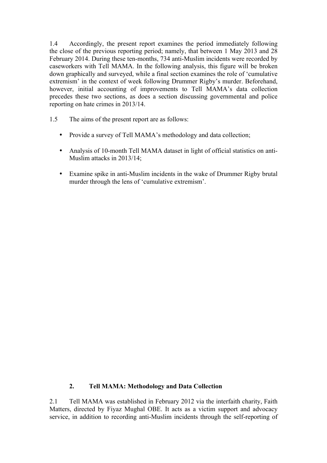1.4 Accordingly, the present report examines the period immediately following the close of the previous reporting period; namely, that between 1 May 2013 and 28 February 2014. During these ten-months, 734 anti-Muslim incidents were recorded by caseworkers with Tell MAMA. In the following analysis, this figure will be broken down graphically and surveyed, while a final section examines the role of 'cumulative extremism' in the context of week following Drummer Rigby's murder. Beforehand, however, initial accounting of improvements to Tell MAMA's data collection precedes these two sections, as does a section discussing governmental and police reporting on hate crimes in 2013/14.

- 1.5 The aims of the present report are as follows:
	- Provide a survey of Tell MAMA's methodology and data collection;
	- Analysis of 10-month Tell MAMA dataset in light of official statistics on anti-Muslim attacks in 2013/14;
	- Examine spike in anti-Muslim incidents in the wake of Drummer Rigby brutal murder through the lens of 'cumulative extremism'.

## **2. Tell MAMA: Methodology and Data Collection**

2.1 Tell MAMA was established in February 2012 via the interfaith charity, Faith Matters, directed by Fiyaz Mughal OBE. It acts as a victim support and advocacy service, in addition to recording anti-Muslim incidents through the self-reporting of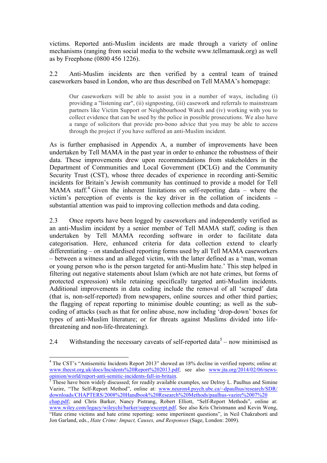victims. Reported anti-Muslim incidents are made through a variety of online mechanisms (ranging from social media to the website www.tellmamauk.org) as well as by Freephone (0800 456 1226).

2.2 Anti-Muslim incidents are then verified by a central team of trained caseworkers based in London, who are thus described on Tell MAMA's homepage:

Our caseworkers will be able to assist you in a number of ways, including (i) providing a "listening ear", (ii) signposting, (iii) casework and referrals to mainstream partners like Victim Support or Neighbourhood Watch and (iv) working with you to collect evidence that can be used by the police in possible prosecutions. We also have a range of solicitors that provide pro-bono advice that you may be able to access through the project if you have suffered an anti-Muslim incident.

As is further emphasised in Appendix A, a number of improvements have been undertaken by Tell MAMA in the past year in order to enhance the robustness of their data. These improvements drew upon recommendations from stakeholders in the Department of Communities and Local Government (DCLG) and the Community Security Trust (CST), whose three decades of experience in recording anti-Semitic incidents for Britain's Jewish community has continued to provide a model for Tell MAMA staff.<sup>4</sup> Given the inherent limitations on self-reporting data – where the victim's perception of events is the key driver in the collation of incidents – substantial attention was paid to improving collection methods and data coding.

2.3 Once reports have been logged by caseworkers and independently verified as an anti-Muslim incident by a senior member of Tell MAMA staff, coding is then undertaken by Tell MAMA recording software in order to facilitate data categorisation. Here, enhanced criteria for data collection extend to clearly differentiating – on standardised reporting forms used by all Tell MAMA caseworkers – between a witness and an alleged victim, with the latter defined as a 'man, woman or young person who is the person targeted for anti-Muslim hate.' This step helped in filtering out negative statements about Islam (which are not hate crimes, but forms of protected expression) while retaining specifically targeted anti-Muslim incidents. Additional improvements in data coding include the removal of all 'scraped' data (that is, non-self-reported) from newspapers, online sources and other third parties; the flagging of repeat reporting to minimise double counting; as well as the subcoding of attacks (such as that for online abuse, now including 'drop-down' boxes for types of anti-Muslim literature; or for threats against Muslims divided into lifethreatening and non-life-threatening).

2.4 Withstanding the necessary caveats of self-reported data<sup>5</sup> – now minimised as

<sup>&</sup>lt;sup>4</sup> The CST's "Antisemitic Incidents Report 2013" showed an 18% decline in verified reports; online at: www.thecst.org.uk/docs/Incidents%20Report%202013.pdf; see also www.jta.org/2014/02/06/news-<br>opinion/world/report-anti-semitic-incidents-fall-in-britain.

 $\frac{1}{5}$ These have been widely discussed; for readily available examples, see Delroy L. Paulhus and Simine Vazire, "The Self-Report Method", online at: www.neuron4.psych.ubc.ca/~dpaulhus/research/SDR/ downloads/CHAPTERS/2008%20Handbook%20Research%20Methods/paulhus-vazire%2007%20 chap.pdf; and Chris Barker, Nancy Pistrang, Robert Elliott, "Self-Report Methods", online at: www.wiley.com/legacy/wileychi/barker/supp/excerpt.pdf. See also Kris Christmann and Kevin Wong, "Hate crime victims and hate crime reporting: some impertinent questions", in Neil Chakraborti and Jon Garland, eds., *Hate Crime: Impact, Causes, and Responses* (Sage, London: 2009).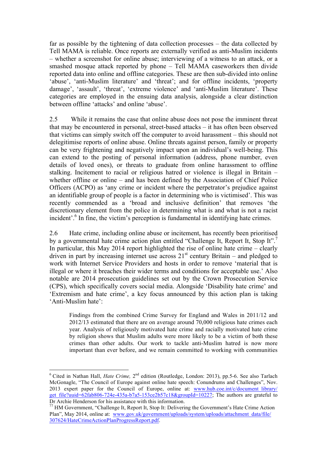far as possible by the tightening of data collection processes – the data collected by Tell MAMA is reliable. Once reports are externally verified as anti-Muslim incidents – whether a screenshot for online abuse; interviewing of a witness to an attack, or a smashed mosque attack reported by phone – Tell MAMA caseworkers then divide reported data into online and offline categories. These are then sub-divided into online 'abuse', 'anti-Muslim literature' and 'threat'; and for offline incidents, 'property damage', 'assault', 'threat', 'extreme violence' and 'anti-Muslim literature'. These categories are employed in the ensuing data analysis, alongside a clear distinction between offline 'attacks' and online 'abuse'.

2.5 While it remains the case that online abuse does not pose the imminent threat that may be encountered in personal, street-based attacks – it has often been observed that victims can simply switch off the computer to avoid harassment – this should not delegitimise reports of online abuse. Online threats against person, family or property can be very frightening and negatively impact upon an individual's well-being. This can extend to the posting of personal information (address, phone number, even details of loved ones), or threats to graduate from online harassment to offline stalking. Incitement to racial or religious hatred or violence is illegal in Britain – whether offline or online – and has been defined by the Association of Chief Police Officers (ACPO) as 'any crime or incident where the perpetrator's prejudice against an identifiable group of people is a factor in determining who is victimised'. This was recently commended as a 'broad and inclusive definition' that removes 'the discretionary element from the police in determining what is and what is not a racist incident'.<sup>6</sup> In fine, the victim's perception is fundamental in identifying hate crimes.

2.6 Hate crime, including online abuse or incitement, has recently been prioritised by a governmental hate crime action plan entitled "Challenge It, Report It, Stop It".<sup>7</sup> In particular, this May 2014 report highlighted the rise of online hate crime – clearly driven in part by increasing internet use across  $21<sup>st</sup>$  century Britain – and pledged to work with Internet Service Providers and hosts in order to remove 'material that is illegal or where it breaches their wider terms and conditions for acceptable use.' Also notable are 2014 prosecution guidelines set out by the Crown Prosecution Service (CPS), which specifically covers social media. Alongside 'Disability hate crime' and 'Extremism and hate crime', a key focus announced by this action plan is taking 'Anti-Muslim hate':

Findings from the combined Crime Survey for England and Wales in 2011/12 and 2012/13 estimated that there are on average around 70,000 religious hate crimes each year. Analysis of religiously motivated hate crime and racially motivated hate crime by religion shows that Muslim adults were more likely to be a victim of both these crimes than other adults. Our work to tackle anti-Muslim hatred is now more important than ever before, and we remain committed to working with communities

<sup>&</sup>lt;sup>6</sup> Cited in Nathan Hall, *Hate Crime*, 2<sup>nd</sup> edition (Routledge, London: 2013), pp.5-6. See also Tarlach McGonagle, "The Council of Europe against online hate speech: Conundrums and Challenges", Nov. 2013 expert paper for the Council of Europe, online at: www.hub.coe.int/c/document library/ get file?uuid=62fab806-724e-435a-b7a5-153ce2b57c18&groupId=10227; The authors are grateful to Dr Archie Henderson for his assistance with this information.

<sup>77</sup> HM Government, "Challenge It, Report It, Stop It: Delivering the Government's Hate Crime Action Plan", May 2014, online at: www.gov.uk/government/uploads/system/uploads/attachment\_data/file/ 307624/HateCrimeActionPlanProgressReport.pdf.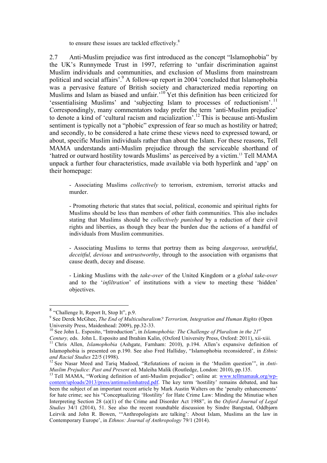to ensure these issues are tackled effectively.<sup>8</sup>

2.7 Anti-Muslim prejudice was first introduced as the concept "Islamophobia" by the UK's Runnymede Trust in 1997, referring to 'unfair discrimination against Muslim individuals and communities, and exclusion of Muslims from mainstream political and social affairs'.<sup>9</sup> A follow-up report in 2004 'concluded that Islamophobia was a pervasive feature of British society and characterized media reporting on Muslims and Islam as biased and unfair.<sup>10</sup> Yet this definition has been criticized for 'essentialising Muslims' and 'subjecting Islam to processes of reductionism'. <sup>11</sup> Correspondingly, many commentators today prefer the term 'anti-Muslim prejudice' to denote a kind of 'cultural racism and racialization'.<sup>12</sup> This is because anti-Muslim sentiment is typically not a "phobic" expression of fear so much as hostility or hatred; and secondly, to be considered a hate crime these views need to expressed toward, or about, specific Muslim individuals rather than about the Islam. For these reasons, Tell MAMA understands anti-Muslim prejudice through the serviceable shorthand of 'hatred or outward hostility towards Muslims' as perceived by a victim. <sup>13</sup> Tell MAMA unpack a further four characteristics, made available via both hyperlink and 'app' on their homepage:

- Associating Muslims *collectively* to terrorism, extremism, terrorist attacks and murder.

- Promoting rhetoric that states that social, political, economic and spiritual rights for Muslims should be less than members of other faith communities. This also includes stating that Muslims should be *collectively punished* by a reduction of their civil rights and liberties, as though they bear the burden due the actions of a handful of individuals from Muslim communities.

- Associating Muslims to terms that portray them as being *dangerous, untruthful*, *deceitful, devious* and *untrustworthy*, through to the association with organisms that cause death, decay and disease.

- Linking Muslims with the *take-over* of the United Kingdom or a *global take-over* and to the '*infiltration*' of institutions with a view to meeting these 'hidden' objectives.

 <sup>8</sup> "Challenge It, Report It, Stop It", p.9.

<sup>9</sup> See Derek McGhee, *The End of Multiculturalism? Terrorism, Integration and Human Rights* (Open University Press, Maidenhead: 2009), pp.32-33.<br><sup>10</sup> See John L. Esposito, "Introduction", in *Islamophobia: The Challenge of Pluralism in the 21<sup><i>st*</sup></sub>

*Century,* eds. John L. Esposito and Ibrahim Kalin, (Oxford University Press, Oxford: 2011), xii-xiii. <sup>11</sup> Chris Allen, *Islamophobia* (Ashgate, Farnham: 2010), p.194. Allen's expansive definition of Islamophobia is presented on p.190. See also Fred Halliday, "Islamophobia reconsidered', in *Ethnic* 

<sup>&</sup>lt;sup>12</sup> See Nasar Meed and Tariq Madood, "Refutations of racism in the 'Muslim question'", in *Anti-Muslim Prejudice: Past and Present* ed. Maleiha Malik (Routledge, London: 2010), pp.135.

<sup>&</sup>lt;sup>13</sup> Tell MAMA, "Working definition of anti-Muslim prejudice"; online at: www.tellmamauk.org/wpcontent/uploads/2013/press/antimuslimhatred.pdf. The key term 'hostility' remains debated, and has been the subject of an important recent article by Mark Austin Walters on the 'penalty enhancements' for hate crime; see his "Conceptualizing 'Hostility' for Hate Crime Law: Minding the Minutiae when Interpreting Section 28 (a)(1) of the Crime and Disorder Act 1988", in the *Oxford Journal of Legal Studies* 34/1 (2014), 51. See also the recent roundtable discussion by Sindre Bangstad, Oddbjørn Leirvik and John R. Bowen, '"Anthropologists are talking': About Islam, Muslims an the law in Contemporary Europe', in *Ethnos: Journal of Anthropology* 79/1 (2014).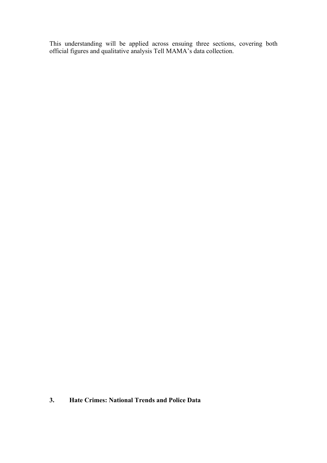This understanding will be applied across ensuing three sections, covering both official figures and qualitative analysis Tell MAMA's data collection.

## **3. Hate Crimes: National Trends and Police Data**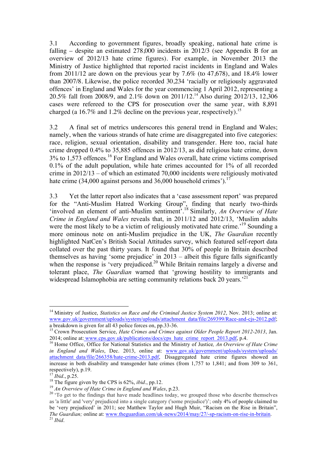3.1 According to government figures, broadly speaking, national hate crime is falling – despite an estimated 278,000 incidents in 2012/3 (see Appendix B for an overview of 2012/13 hate crime figures). For example, in November 2013 the Ministry of Justice highlighted that reported racist incidents in England and Wales from 2011/12 are down on the previous year by 7.6% (to 47,678), and 18.4% lower than 2007/8. Likewise, the police recorded 30,234 'racially or religiously aggravated offences' in England and Wales for the year commencing 1 April 2012, representing a 20.5% fall from 2008/9, and 2.1% down on 2011/12. <sup>14</sup> Also during 2012/13, 12,306 cases were refereed to the CPS for prosecution over the same year, with 8,891 charged (a 16.7% and 1.2% decline on the previous year, respectively).<sup>15</sup>

3.2 A final set of metrics underscores this general trend in England and Wales; namely, when the various strands of hate crime are disaggregated into five categories: race, religion, sexual orientation, disability and transgender. Here too, racial hate crime dropped 0.4% to 35,885 offences in 2012/13, as did religious hate crime, down 3% to 1,573 offences.<sup>16</sup> For England and Wales overall, hate crime victims comprised 0.1% of the adult population, while hate crimes accounted for 1% of all recorded crime in 2012/13 – of which an estimated 70,000 incidents were religiously motivated hate crime (34,000 against persons and 36,000 household crimes').<sup>17</sup>

3.3 Yet the latter report also indicates that a 'case assessment report' was prepared for the "Anti-Muslim Hatred Working Group", finding that nearly two-thirds 'involved an element of anti-Muslim sentiment'.18 Similarly, *An Overview of Hate Crime in England and Wales* reveals that, in 2011/12 and 2012/13, 'Muslim adults were the most likely to be a victim of religiously motivated hate crime.<sup>19</sup> Sounding a more ominous note on anti-Muslim prejudice in the UK, *The Guardian* recently highlighted NatCen's British Social Attitudes survey, which featured self-report data collated over the past thirty years. It found that 30% of people in Britain described themselves as having 'some prejudice' in 2013 – albeit this figure falls significantly when the response is 'very prejudiced.<sup>20</sup> While Britain remains largely a diverse and tolerant place, *The Guardian* warned that 'growing hostility to immigrants and widespread Islamophobia are setting community relations back 20 years.<sup>21</sup>

 <sup>14</sup> Ministry of Justice, *Statistics on Race and the Criminal Justice System 2012*, Nov. 2013; online at: www.gov.uk/government/uploads/system/uploads/attachment\_data/file/269399/Race-and-cjs-2012.pdf;<br>a breakdown is given for all 43 police forces on, pp.33-36.

<sup>&</sup>lt;sup>15</sup> Crown Prosecution Service, *Hate Crimes and Crimes against Older People Report 2012-2013*, Jan. 2014; online at: www.cps.gov.uk/publications/docs/cps\_hate\_crime\_report\_2013.pdf, p.4. <sup>16</sup> Home Office, Office for National Statistics and the Ministry of Justice*, An Overview of Hate Crime* 

*in England and Wales*, Dec. 2013, online at: www.gov.uk/government/uploads/system/uploads/ attachment data/file/266358/hate-crime-2013.pdf, Disaggregated hate crime figures showed an increase in both disability and transgender hate crimes (from 1,757 to 1,841; and from 309 to 361, respectively), p.19.<br> $^{17}$  *Ibid.*, p.25.

<sup>&</sup>lt;sup>18</sup> The figure given by the CPS is 62%, *ibid.*, pp.12.<br><sup>19</sup> An Overview of Hate Crime in England and Wales, p.23.<br><sup>20</sup> 'To get to the findings that have made headlines today, we grouped those who describe themselves as 'a little' and 'very' prejudiced into a single category ('some prejudice')'; only 4% of people claimed to be 'very prejudiced' in 2011; see Matthew Taylor and Hugh Muir, "Racism on the Rise in Britain", *The Guardian;* online at: www.theguardian.com/uk-news/2014/may/27/-sp-racism-on-rise-in-britain.<sup>21</sup> *Ibid.*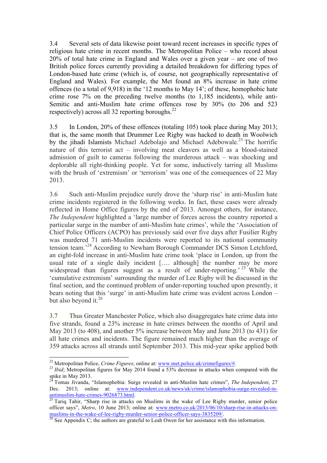3.4 Several sets of data likewise point toward recent increases in specific types of religious hate crime in recent months. The Metropolitan Police – who record about 20% of total hate crime in England and Wales over a given year – are one of two British police forces currently providing a detailed breakdown for differing types of London-based hate crime (which is, of course, not geographically representative of England and Wales). For example, the Met found an 8% increase in hate crime offences (to a total of 9,918) in the '12 months to May 14'; of these, homophobic hate crime rose 7% on the preceding twelve months (to 1,185 incidents), while anti-Semitic and anti-Muslim hate crime offences rose by 30% (to 206 and 523 respectively) across all 32 reporting boroughs. $^{22}$ 

3.5 In London, 20% of these offences (totaling 105) took place during May 2013; that is, the same month that Drummer Lee Rigby was hacked to death in Woolwich by the jihadi Islamists Michael Adebolajo and Michael Adebowale.<sup>23</sup> The horrific nature of this terrorist act – involving meat cleavers as well as a blood-stained admission of guilt to cameras following the murderous attack – was shocking and deplorable all right-thinking people. Yet for some, inductively tarring all Muslims with the brush of 'extremism' or 'terrorism' was one of the consequences of 22 May 2013.

3.6 Such anti-Muslim prejudice surely drove the 'sharp rise' in anti-Muslim hate crime incidents registered in the following weeks. In fact, these cases were already reflected in Home Office figures by the end of 2013. Amongst others, for instance, *The Independent* highlighted a 'large number of forces across the country reported a particular surge in the number of anti-Muslim hate crimes', while the 'Association of Chief Police Officers (ACPO) has previously said over five days after Fusilier Rigby was murdered 71 anti-Muslim incidents were reported to its national community tension team.<sup>224</sup> According to Newham Borough Commander DCS Simon Letchford, an eight-fold increase in anti-Muslim hate crime took 'place in London, up from the usual rate of a single daily incident [.... although] the number may be more widespread than figures suggest as a result of under-reporting.<sup>25</sup> While the 'cumulative extremism' surrounding the murder of Lee Rigby will be discussed in the final section, and the continued problem of under-reporting touched upon presently, it bears noting that this 'surge' in anti-Muslim hate crime was evident across London – but also beyond it.<sup>26</sup>

3.7 Thus Greater Manchester Police, which also disaggregates hate crime data into five strands, found a 23% increase in hate crimes between the months of April and May 2013 (to 408), and another 5% increase between May and June 2013 (to 431) for all hate crimes and incidents. The figure remained much higher than the average of 359 attacks across all strands until September 2013. This mid-year spike applied both

<sup>&</sup>lt;sup>22</sup> Metropolitan Police, *Crime Figures*; online at: www.met.police.uk/crimefigures/#.<br><sup>23</sup> *Ibid*; Metropolitan figures for May 2014 found a 53% decrease in attacks when compared with the spike in May 2013.

<sup>&</sup>lt;sup>24</sup> Tomas Jivanda, "Islamophobia: Surge revealed in anti-Muslim hate crimes", *The Independent*, 27 Dec. 2013; online at: www.independent.co.uk/news/uk/crime/islamophobia-surge-revealed-inantimuslim-hate-crimes-9026873.html.<br><sup>25</sup> Tariq Tahir, "Sharp rise in attacks on Muslims in the wake of Lee Rigby murder, senior police

officer says", *Metro*, 10 June 2013; online at: www.metro.co.uk/2013/06/10/sharp-rise-in-attacks-onmuslims-in-the-wake-of-lee-rigby-murder-senior-police-officer-says-3835209/.<br><sup>26</sup> See Appendix C; the authors are grateful to Leah Owen for her assistance with this information.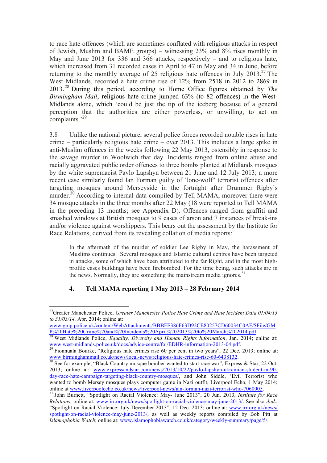to race hate offences (which are sometimes conflated with religious attacks in respect of Jewish, Muslim and BAME groups) – witnessing 23% and 8% rises monthly in May and June 2013 for 336 and 366 attacks, respectively – and to religious hate, which increased from 31 recorded cases in April to 47 in May and 34 in June, before returning to the monthly average of 25 religious hate offences in July 2013.<sup>27</sup> The West Midlands, recorded a hate crime rise of 12% from 2518 in 2012 to 2869 in 2013.<sup>28</sup> During this period, according to Home Office figures obtained by *The Birmingham Mail*, religious hate crime jumped 63% (to 82 offences) in the West-Midlands alone, which 'could be just the tip of the iceberg because of a general perception that the authorities are either powerless, or unwilling, to act on complaints.<sup>29</sup>

3.8 Unlike the national picture, several police forces recorded notable rises in hate crime – particularly religious hate crime – over 2013. This includes a large spike in anti-Muslim offences in the weeks following 22 May 2013, ostensibly in response to the savage murder in Woolwich that day. Incidents ranged from online abuse and racially aggravated public order offences to three bombs planted at Midlands mosques by the white supremacist Pavlo Lapshyn between 21 June and 12 July 2013; a more recent case similarly found Ian Forman guilty of 'lone-wolf" terrorist offences after targeting mosques around Merseyside in the fortnight after Drummer Rigby's murder.<sup>30</sup> According to internal data compiled by Tell MAMA, moreover there were 34 mosque attacks in the three months after 22 May (18 were reported to Tell MAMA in the preceding 13 months; see Appendix D). Offences ranged from graffiti and smashed windows at British mosques to 9 cases of arson and 7 instances of break-ins and/or violence against worshippers. This bears out the assessment by the Institute for Race Relations, derived from its revealing collation of media reports:

In the aftermath of the murder of soldier Lee Rigby in May, the harassment of Muslims continues. Several mosques and Islamic cultural centres have been targeted in attacks, some of which have been attributed to the far Right, and in the most highprofile cases buildings have been firebombed. For the time being, such attacks are in the news. Normally, they are something the mainstream media ignores.<sup>31</sup>

## **4. Tell MAMA reporting 1 May 2013 – 28 February 2014**

 <sup>27</sup>Greater Manchester Police, *Greater Manchester Police Hate Crime and Hate Incident Data 01/04/13 to 31/03/14,* Apr. 2014; online at:

www.gmp.police.uk/content/WebAttachments/BBBFE386F63D92CE80257CD60034C0AF/\$File/GM P%20Hate%20Crime%20and%20Incidents%20April%202013%20to%20March%202014.pdf. <sup>28</sup> West Midlands Police, *Equality, Diversity and Human Rights Information*, Jan. 2014; online at:

www.west-midlands.police.uk/docs/advice-centre/foi/EDHR-information-2013-04.pdf.<br><sup>29</sup> Fionnuala Bourke, "Religious hate crimes rise 60 per cent in two years", 22 Dec. 2013; online at:<br>www.birminghammail.co.uk/news/local-ne

 $\frac{30}{30}$  See for example, "Black Country mosque bomber wanted to start race war", Express & Star, 22 Oct. 2013; online at: www.expressandstar.com/news/2013/10/22/pavlo-lapshyn-ukrainian-student-in-90 day-race-hate-campaign-targeting-black-country-mosques/, and John Siddle, 'Evil Terrorist who wanted to bomb Mersey mosques plays computer game in Nazi outfit, Liverpool Echo, 1 May 2014;<br>online at www.liverpoolecho.co.uk/news/liverpool-news/ian-forman-nazi-terrorist-who-7060005.

<sup>&</sup>lt;sup>31</sup> John Burnett, "Spotlight on Racial Violence: May- June 2013", 20 Jun. 2013, *Institute for Race Relations*; online at: www.irr.org.uk/news/spotlight-on-racial-violence-may-june-2013/. See also *ibid*., "Spotlight on Racial Violence: July-December 2013", 12 Dec. 2013; online at: www.irr.org.uk/news/ spotlight-on-racial-violence-may-june-2013/, as well as weekly reports compiled by Bob Pitt at *Islamophobia Watch*; online at: www.islamophobiawatch.co.uk/category/weekly-summary/page/5/.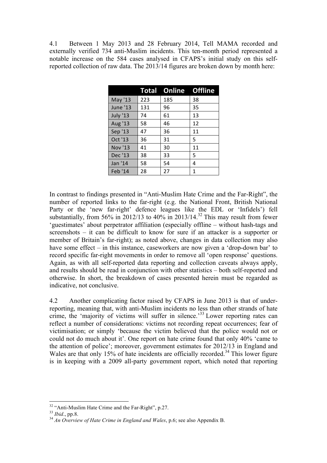4.1 Between 1 May 2013 and 28 February 2014, Tell MAMA recorded and externally verified 734 anti-Muslim incidents. This ten-month period represented a notable increase on the 584 cases analysed in CFAPS's initial study on this selfreported collection of raw data. The 2013/14 figures are broken down by month here:

|                 |     | <b>Total Online Offline</b> |    |
|-----------------|-----|-----------------------------|----|
| May '13         | 223 | 185                         | 38 |
| June '13        | 131 | 96                          | 35 |
| <b>July '13</b> | 74  | 61                          | 13 |
| Aug '13         | 58  | 46                          | 12 |
| Sep '13         | 47  | 36                          | 11 |
| Oct '13         | 36  | 31                          | 5  |
| <b>Nov '13</b>  | 41  | 30                          | 11 |
| Dec '13         | 38  | 33                          | 5  |
| Jan '14         | 58  | 54                          | 4  |
| Feb '14         | 28  | 27                          | 1  |

In contrast to findings presented in "Anti-Muslim Hate Crime and the Far-Right", the number of reported links to the far-right (e.g. the National Front, British National Party or the 'new far-right' defence leagues like the EDL or 'Infidels') fell substantially, from 56% in 2012/13 to 40% in 2013/14.<sup>32</sup> This may result from fewer 'guestimates' about perpetrator affiliation (especially offline – without hash-tags and screenshots – it can be difficult to know for sure if an attacker is a supporter or member of Britain's far-right); as noted above, changes in data collection may also have some effect – in this instance, caseworkers are now given a 'drop-down bar' to record specific far-right movements in order to remove all 'open response' questions. Again, as with all self-reported data reporting and collection caveats always apply, and results should be read in conjunction with other statistics – both self-reported and otherwise. In short, the breakdown of cases presented herein must be regarded as indicative, not conclusive.

4.2 Another complicating factor raised by CFAPS in June 2013 is that of underreporting, meaning that, with anti-Muslim incidents no less than other strands of hate crime, the 'majority of victims will suffer in silence.'<sup>33</sup> Lower reporting rates can reflect a number of considerations: victims not recording repeat occurrences; fear of victimisation; or simply 'because the victim believed that the police would not or could not do much about it'. One report on hate crime found that only 40% 'came to the attention of police'; moreover, government estimates for 2012/13 in England and Wales are that only 15% of hate incidents are officially recorded.<sup>34</sup> This lower figure is in keeping with a 2009 all-party government report, which noted that reporting

<sup>&</sup>lt;sup>32</sup> "Anti-Muslim Hate Crime and the Far-Right", p.27.<br><sup>33</sup> *Ibid.*, pp.8.<br><sup>34</sup> *An Overview of Hate Crime in England and Wales*, p.6; see also Appendix B.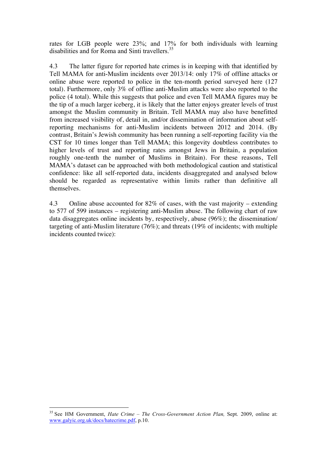rates for LGB people were 23%; and 17% for both individuals with learning disabilities and for Roma and Sinti travellers.<sup>35</sup>

4.3 The latter figure for reported hate crimes is in keeping with that identified by Tell MAMA for anti-Muslim incidents over 2013/14: only 17% of offline attacks or online abuse were reported to police in the ten-month period surveyed here (127 total). Furthermore, only 3% of offline anti-Muslim attacks were also reported to the police (4 total). While this suggests that police and even Tell MAMA figures may be the tip of a much larger iceberg, it is likely that the latter enjoys greater levels of trust amongst the Muslim community in Britain. Tell MAMA may also have benefitted from increased visibility of, detail in, and/or dissemination of information about selfreporting mechanisms for anti-Muslim incidents between 2012 and 2014. (By contrast, Britain's Jewish community has been running a self-reporting facility via the CST for 10 times longer than Tell MAMA; this longevity doubtless contributes to higher levels of trust and reporting rates amongst Jews in Britain, a population roughly one-tenth the number of Muslims in Britain). For these reasons, Tell MAMA's dataset can be approached with both methodological caution and statistical confidence: like all self-reported data, incidents disaggregated and analysed below should be regarded as representative within limits rather than definitive all themselves.

4.3 Online abuse accounted for 82% of cases, with the vast majority – extending to 577 of 599 instances – registering anti-Muslim abuse. The following chart of raw data disaggregates online incidents by, respectively, abuse (96%); the dissemination/ targeting of anti-Muslim literature (76%); and threats (19% of incidents; with multiple incidents counted twice):

 <sup>35</sup> See HM Government, *Hate Crime – The Cross-Government Action Plan,* Sept. 2009, online at: www.galyic.org.uk/docs/hatecrime.pdf, p.10.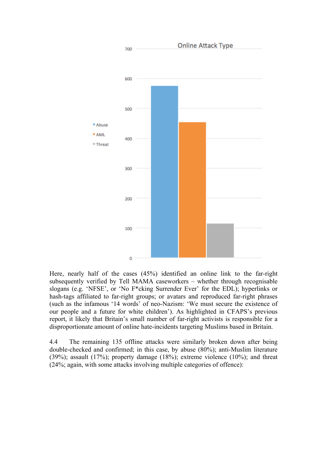

Here, nearly half of the cases (45%) identified an online link to the far-right subsequently verified by Tell MAMA caseworkers – whether through recognisable slogans (e.g. 'NFSE', or 'No F\*cking Surrender Ever' for the EDL); hyperlinks or hash-tags affiliated to far-right groups; or avatars and reproduced far-right phrases (such as the infamous '14 words' of neo-Nazism: 'We must secure the existence of our people and a future for white children'). As highlighted in CFAPS's previous report, it likely that Britain's small number of far-right activists is responsible for a disproportionate amount of online hate-incidents targeting Muslims based in Britain.

4.4 The remaining 135 offline attacks were similarly broken down after being double-checked and confirmed; in this case, by abuse (80%); anti-Muslim literature (39%); assault (17%); property damage (18%); extreme violence (10%); and threat (24%; again, with some attacks involving multiple categories of offence):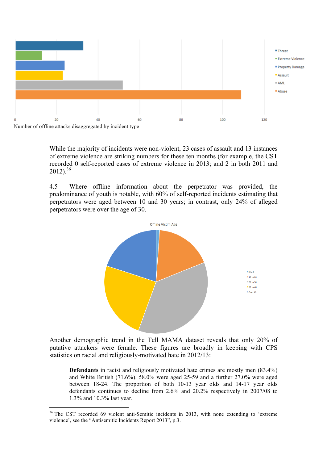

While the majority of incidents were non-violent, 23 cases of assault and 13 instances of extreme violence are striking numbers for these ten months (for example, the CST recorded 0 self-reported cases of extreme violence in 2013; and 2 in both 2011 and  $2012$ )<sup>36</sup>

4.5 Where offline information about the perpetrator was provided, the predominance of youth is notable, with 60% of self-reported incidents estimating that perpetrators were aged between 10 and 30 years; in contrast, only 24% of alleged perpetrators were over the age of 30.



Another demographic trend in the Tell MAMA dataset reveals that only 20% of putative attackers were female. These figures are broadly in keeping with CPS statistics on racial and religiously-motivated hate in 2012/13:

**Defendants** in racist and religiously motivated hate crimes are mostly men (83.4%) and White British (71.6%). 58.0% were aged 25-59 and a further 27.0% were aged between 18-24. The proportion of both 10-13 year olds and 14-17 year olds defendants continues to decline from 2.6% and 20.2% respectively in 2007/08 to 1.3% and 10.3% last year.

<sup>&</sup>lt;sup>36</sup> The CST recorded 69 violent anti-Semitic incidents in 2013, with none extending to 'extreme violence', see the "Antisemitic Incidents Report 2013", p.3.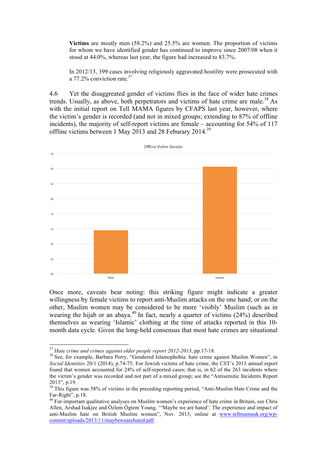**Victims** are mostly men (58.2%) and 25.5% are women. The proportion of victims for whom we have identified gender has continued to improve since 2007/08 when it stood at 44.0%, whereas last year, the figure had increased to 83.7%.

In 2012/13, 399 cases involving religiously aggravated hostility were prosecuted with a 77.2% conviction rate. $37$ 

4.6 Yet the disaggreated gender of victims flies in the face of wider hate crimes trends. Usually, as above, both perpetrators and victims of hate crime are male.<sup>38</sup> As with the initial report on Tell MAMA figures by CFAPS last year, however, where the victim's gender is recorded (and not in mixed groups; extending to 87% of offline incidents), the majority of self-report victims are female – accounting for 54% of 117 offline victims between 1 May 2013 and 28 Feburary 2014.39



Once more, caveats bear noting: this striking figure might indicate a greater willingness by female victims to report anti-Muslim attacks on the one hand; or on the other, Muslim women may be considered to be more 'visibly' Muslim (such as in wearing the hijab or an abaya.<sup>40</sup> In fact, nearly a quarter of victims (24%) described themselves as wearing 'Islamic' clothing at the time of attacks reported in this 10 month data cycle. Given the long-held consensus that most hate crimes are situational

<sup>&</sup>lt;sup>37</sup> *Hate crime and crimes against older people report 2012-2013*, pp.17-18.<br><sup>38</sup> See, for example, Barbara Perry, "Gendered Islamophobia: hate crime against Muslim Women", in *Social Identities* 20/1 (2014), p.74-75. For Jewish victims of hate crime, the CST's 2013 annual report found that women accounted for 24% of self-reported cases; that is, in 62 of the 263 incidents where the victim's gender was recorded and not part of a mixed group; see the "Antisemitic Incidents Report

<sup>2013&</sup>quot;, p.19. 39 This figure was 58% of victims in the preceding reporting period, "Anti-Muslim Hate Crime and the Far-Right", p.18.<br><sup>40</sup> For important qualitative analyses on Muslim women's experience of hate crime in Britain, see Chris

Allen, Arshad Isakjee and Özlem Ögtem Young, '"Maybe we are hated': The experience and impact of anti-Muslim hate on British Muslim women", Nov. 2013; online at www.tellmamauk.org/wpcontent/uploads/2013/11/maybewearehated.pdf.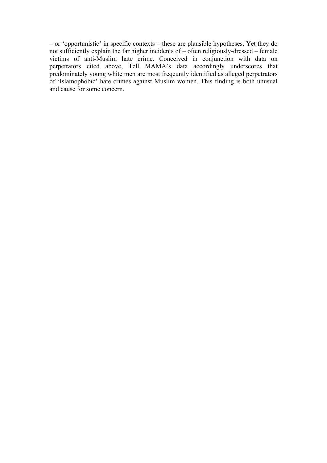– or 'opportunistic' in specific contexts – these are plausible hypotheses. Yet they do not sufficiently explain the far higher incidents of – often religiously-dressed – female victims of anti-Muslim hate crime. Conceived in conjunction with data on perpetrators cited above, Tell MAMA's data accordingly underscores that predominately young white men are most freqeuntly identified as alleged perpetrators of 'Islamophobic' hate crimes against Muslim women. This finding is both unusual and cause for some concern.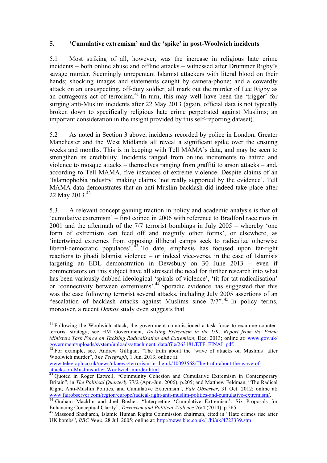## **5. 'Cumulative extremism' and the 'spike' in post-Woolwich incidents**

5.1 Most striking of all, however, was the increase in religious hate crime incidents – both online abuse and offline attacks – witnessed after Drummer Rigby's savage murder. Seemingly unrepentant Islamist attackers with literal blood on their hands; shocking images and statements caught by camera-phone; and a cowardly attack on an unsuspecting, off-duty soldier, all mark out the murder of Lee Rigby as an outrageous act of terrorism.<sup>41</sup> In turn, this may well have been the 'trigger' for surging anti-Muslim incidents after 22 May 2013 (again, official data is not typically broken down to specifically religious hate crime perpetrated against Muslims; an important consideration in the insight provided by this self-reporting dataset).

5.2 As noted in Section 3 above, incidents recorded by police in London, Greater Manchester and the West Midlands all reveal a significant spike over the ensuing weeks and months. This is in keeping with Tell MAMA's data, and may be seen to strengthen its credibility. Incidents ranged from online incitements to hatred and violence to mosque attacks – themselves ranging from graffiti to arson attacks – and, according to Tell MAMA, five instances of extreme violence. Despite claims of an 'Islamophobia industry' making claims 'not really supported by the evidence', Tell MAMA data demonstrates that an anti-Muslim backlash did indeed take place after 22 May 2013.<sup>42</sup>

5.3 A relevant concept gaining traction in policy and academic analysis is that of 'cumulative extremism' – first coined in 2006 with reference to Bradford race riots in 2001 and the aftermath of the 7/7 terrorist bombings in July 2005 – whereby 'one form of extremism can feed off and magnify other forms', or elsewhere, as 'intertwined extremes from opposing illiberal camps seek to radicalize otherwise liberal-democratic populaces'. <sup>43</sup> To date, emphasis has focused upon far-right reactions to jihadi Islamist violence – or indeed vice-versa, in the case of Islamists targeting an EDL demonstration in Dewsbury on 30 June 2013 – even if commentators on this subject have all stressed the need for further research into what has been variously dubbed ideological 'spirals of violence', 'tit-for-tat radicalisation' or 'connectivity between extremisms'.<sup>44</sup> Sporadic evidence has suggested that this was the case following terrorist several attacks, including July 2005 assertions of an "escalation of backlash attacks against Muslims since 7/7". <sup>45</sup> In policy terms, moreover, a recent *Demos* study even suggests that

<sup>&</sup>lt;sup>41</sup> Following the Woolwich attack, the government commissioned a task force to examine counterterrorist strategy; see HM Government, *Tackling Extremism in the UK: Report from the Prime Ministers Task Force on Tackling Radicalisation and Extremism*, Dec. 2013; online at: www.gov.uk/ government/uploads/system/uploads/attachment\_data/file/263181/ETF\_FINAL.pdf. 42 For example, see, Andrew Gilligan, "The truth about the 'wave of attacks on Muslims' after

Woolwich murder", *The Telegraph*, 1 Jun. 2013; online at:

www.telegraph.co.uk/news/uknews/terrorism-in-the-uk/10093568/The-truth-about-the-wave-of-

<sup>&</sup>lt;sup>43</sup> Quoted in Roger Eatwell, "Community Cohesion and Cumulative Extremism in Contemporary Britain", in *The Political Quarterly* 77/2 (Apr.-Jun. 2006), p.205; and Matthew Feldman, "The Radical Right, Anti-Muslim Politics, and Cumulative Extremism", *Fair Observer*, 31 Oct. 2012; online at: www.fairobserver.com/region/europe/radical-right-anti-muslim-politics-and-cumulative-extremism/. 44 Graham Macklin and Joel Busher, "Interpreting 'Cumulative Extremism': Six Proposals for

Enhancing Conceptual Clarity", *Terrorism and Political Violence* 26/4 (2014), p.565.<br><sup>45</sup> Massoud Shadjareh, Islamic Human Rights Commission chairman, cited in "Hate crimes rise after

UK bombs", *BBC News*, 28 Jul. 2005; online at: http://news.bbc.co.uk/1/hi/uk/4723339.stm.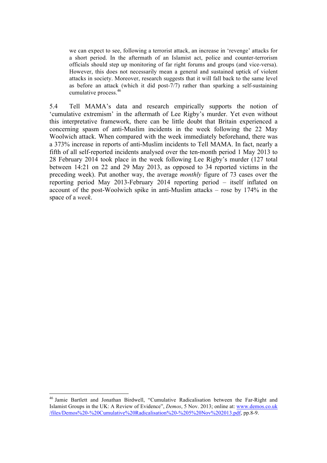we can expect to see, following a terrorist attack, an increase in 'revenge' attacks for a short period. In the aftermath of an Islamist act, police and counter-terrorism officials should step up monitoring of far right forums and groups (and vice-versa). However, this does not necessarily mean a general and sustained uptick of violent attacks in society. Moreover, research suggests that it will fall back to the same level as before an attack (which it did post-7/7) rather than sparking a self-sustaining cumulative process.<sup>46</sup>

5.4 Tell MAMA's data and research empirically supports the notion of 'cumulative extremism' in the aftermath of Lee Rigby's murder. Yet even without this interpretative framework, there can be little doubt that Britain experienced a concerning spasm of anti-Muslim incidents in the week following the 22 May Woolwich attack. When compared with the week immediately beforehand, there was a 373% increase in reports of anti-Muslim incidents to Tell MAMA. In fact, nearly a fifth of all self-reported incidents analysed over the ten-month period 1 May 2013 to 28 February 2014 took place in the week following Lee Rigby's murder (127 total between 14:21 on 22 and 29 May 2013, as opposed to 34 reported victims in the preceding week). Put another way, the average *monthly* figure of 73 cases over the reporting period May 2013-February 2014 reporting period – itself inflated on account of the post-Woolwich spike in anti-Muslim attacks – rose by  $174\%$  in the space of a *week*.

 <sup>46</sup> Jamie Bartlett and Jonathan Birdwell, "Cumulative Radicalisation between the Far-Right and Islamist Groups in the UK: A Review of Evidence", *Demos*, 5 Nov. 2013; online at: www.demos.co.uk /files/Demos%20-%20Cumulative%20Radicalisation%20-%205%20Nov%202013.pdf, pp.8-9.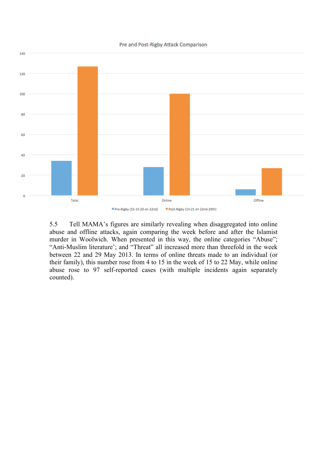

5.5 Tell MAMA's figures are similarly revealing when disaggregated into online abuse and offline attacks, again comparing the week before and after the Islamist murder in Woolwich. When presented in this way, the online categories "Abuse"; "Anti-Muslim literature'; and "Threat" all increased more than threefold in the week between 22 and 29 May 2013. In terms of online threats made to an individual (or their family), this number rose from 4 to 15 in the week of 15 to 22 May, while online abuse rose to 97 self-reported cases (with multiple incidents again separately counted).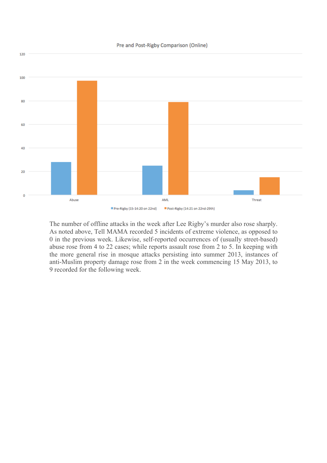

The number of offline attacks in the week after Lee Rigby's murder also rose sharply. As noted above, Tell MAMA recorded 5 incidents of extreme violence, as opposed to 0 in the previous week. Likewise, self-reported occurrences of (usually street-based) abuse rose from 4 to 22 cases; while reports assault rose from 2 to 5. In keeping with the more general rise in mosque attacks persisting into summer 2013, instances of anti-Muslim property damage rose from 2 in the week commencing 15 May 2013, to 9 recorded for the following week.

#### Pre and Post-Rigby Comparison (Online)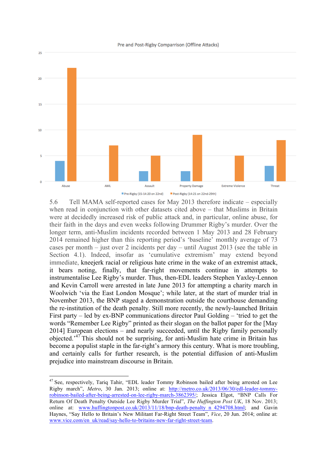#### Pre and Post-Rigby Comparrison (Offline Attacks)



5.6 Tell MAMA self-reported cases for May 2013 therefore indicate – especially when read in conjunction with other datasets cited above – that Muslims in Britain were at decidedly increased risk of public attack and, in particular, online abuse, for their faith in the days and even weeks following Drummer Rigby's murder. Over the longer term, anti-Muslim incidents recorded between 1 May 2013 and 28 February 2014 remained higher than this reporting period's 'baseline' monthly average of 73 cases per month – just over 2 incidents per day – until August 2013 (see the table in Section 4.1). Indeed, insofar as 'cumulative extremism' may extend beyond immediate, kneejerk racial or religious hate crime in the wake of an extremist attack, it bears noting, finally, that far-right movements continue in attempts to instrumentalise Lee Rigby's murder. Thus, then-EDL leaders Stephen Yaxley-Lennon and Kevin Carroll were arrested in late June 2013 for attempting a charity march in Woolwich 'via the East London Mosque'; while later, at the start of murder trial in November 2013, the BNP staged a demonstration outside the courthouse demanding the re-institution of the death penalty. Still more recently, the newly-launched Britain First party – led by ex-BNP communications director Paul Golding – 'tried to get the words "Remember Lee Rigby" printed as their slogan on the ballot paper for the [May 2014] European elections – and nearly succeeded, until the Rigby family personally objected.<sup>47</sup> This should not be surprising, for anti-Muslim hate crime in Britain has become a populist staple in the far-right's armory this century. What is more troubling, and certainly calls for further research, is the potential diffusion of anti-Muslim prejudice into mainstream discourse in Britain.

<sup>&</sup>lt;sup>47</sup> See, respectively, Tariq Tahir, "EDL leader Tommy Robinson bailed after being arrested on Lee Rigby march", *Metro*, 30 Jan. 2013; online at: http://metro.co.uk/2013/06/30/edl-leader-tommyrobinson-bailed-after-being-arrested-on-lee-rigby-march-3862395/; Jessica Elgot, "BNP Calls For Return Of Death Penalty Outside Lee Rigby Murder Trial", *The Huffington Post UK*, 18 Nov. 2013; online at: www.huffingtonpost.co.uk/2013/11/18/bnp-death-penalty\_n\_4294708.html; and Gavin Haynes, "Say Hello to Britain's New Militant Far-Right Street Team", *Vice*, 20 Jun. 2014; online at: www.vice.com/en\_uk/read/say-hello-to-britains-new-far-right-street-team.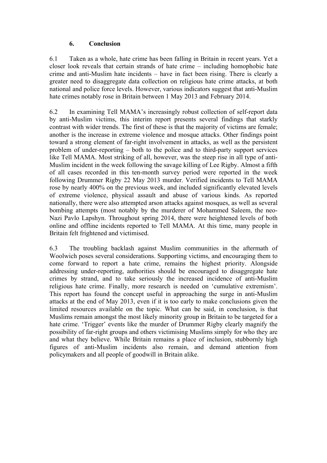## **6. Conclusion**

6.1 Taken as a whole, hate crime has been falling in Britain in recent years. Yet a closer look reveals that certain strands of hate crime – including homophobic hate crime and anti-Muslim hate incidents – have in fact been rising. There is clearly a greater need to disaggregate data collection on religious hate crime attacks, at both national and police force levels. However, various indicators suggest that anti-Muslim hate crimes notably rose in Britain between 1 May 2013 and February 2014.

6.2 In examining Tell MAMA's increasingly robust collection of self-report data by anti-Muslim victims, this interim report presents several findings that starkly contrast with wider trends. The first of these is that the majority of victims are female; another is the increase in extreme violence and mosque attacks. Other findings point toward a strong element of far-right involvement in attacks, as well as the persistent problem of under-reporting – both to the police and to third-party support services like Tell MAMA. Most striking of all, however, was the steep rise in all type of anti-Muslim incident in the week following the savage killing of Lee Rigby. Almost a fifth of all cases recorded in this ten-month survey period were reported in the week following Drummer Rigby 22 May 2013 murder. Verified incidents to Tell MAMA rose by nearly 400% on the previous week, and included significantly elevated levels of extreme violence, physical assault and abuse of various kinds. As reported nationally, there were also attempted arson attacks against mosques, as well as several bombing attempts (most notably by the murderer of Mohammed Saleem, the neo-Nazi Pavlo Lapshyn. Throughout spring 2014, there were heightened levels of both online and offline incidents reported to Tell MAMA. At this time, many people in Britain felt frightened and victimised.

6.3 The troubling backlash against Muslim communities in the aftermath of Woolwich poses several considerations. Supporting victims, and encouraging them to come forward to report a hate crime, remains the highest priority. Alongside addressing under-reporting, authorities should be encouraged to disaggregate hate crimes by strand, and to take seriously the increased incidence of anti-Muslim religious hate crime. Finally, more research is needed on 'cumulative extremism'. This report has found the concept useful in approaching the surge in anti-Muslim attacks at the end of May 2013, even if it is too early to make conclusions given the limited resources available on the topic. What can be said, in conclusion, is that Muslims remain amongst the most likely minority group in Britain to be targeted for a hate crime. 'Trigger' events like the murder of Drummer Rigby clearly magnify the possibility of far-right groups and others victimising Muslims simply for who they are and what they believe. While Britain remains a place of inclusion, stubbornly high figures of anti-Muslim incidents also remain, and demand attention from policymakers and all people of goodwill in Britain alike.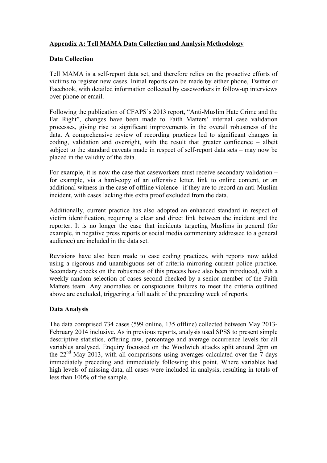## **Appendix A: Tell MAMA Data Collection and Analysis Methodology**

## **Data Collection**

Tell MAMA is a self-report data set, and therefore relies on the proactive efforts of victims to register new cases. Initial reports can be made by either phone, Twitter or Facebook, with detailed information collected by caseworkers in follow-up interviews over phone or email.

Following the publication of CFAPS's 2013 report, "Anti-Muslim Hate Crime and the Far Right", changes have been made to Faith Matters' internal case validation processes, giving rise to significant improvements in the overall robustness of the data. A comprehensive review of recording practices led to significant changes in coding, validation and oversight, with the result that greater confidence – albeit subject to the standard caveats made in respect of self-report data sets – may now be placed in the validity of the data.

For example, it is now the case that caseworkers must receive secondary validation – for example, via a hard-copy of an offensive letter, link to online content, or an additional witness in the case of offline violence –if they are to record an anti-Muslim incident, with cases lacking this extra proof excluded from the data.

Additionally, current practice has also adopted an enhanced standard in respect of victim identification, requiring a clear and direct link between the incident and the reporter. It is no longer the case that incidents targeting Muslims in general (for example, in negative press reports or social media commentary addressed to a general audience) are included in the data set.

Revisions have also been made to case coding practices, with reports now added using a rigorous and unambiguous set of criteria mirroring current police practice. Secondary checks on the robustness of this process have also been introduced, with a weekly random selection of cases second checked by a senior member of the Faith Matters team. Any anomalies or conspicuous failures to meet the criteria outlined above are excluded, triggering a full audit of the preceding week of reports.

## **Data Analysis**

The data comprised 734 cases (599 online, 135 offline) collected between May 2013- February 2014 inclusive. As in previous reports, analysis used SPSS to present simple descriptive statistics, offering raw, percentage and average occurrence levels for all variables analysed. Enquiry focussed on the Woolwich attacks split around 2pm on the  $22<sup>nd</sup>$  May 2013, with all comparisons using averages calculated over the  $\overline{7}$  days immediately preceding and immediately following this point. Where variables had high levels of missing data, all cases were included in analysis, resulting in totals of less than 100% of the sample.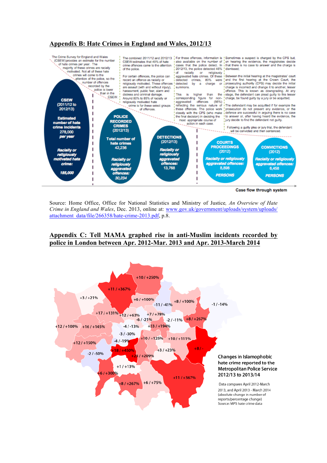## **Appendix B: Hate Crimes in England and Wales, 2012/13**



Case flow through system

Source: Home Office, Office for National Statistics and Ministry of Justice*, An Overview of Hate Crime in England and Wales*, Dec. 2013, online at: www.gov.uk/government/uploads/system/uploads/ attachment\_data/file/266358/hate-crime-2013.pdf, p.8.

## **Appendix C: Tell MAMA graphed rise in anti-Muslim incidents recorded by police in London between Apr. 2012-Mar. 2013 and Apr. 2013-March 2014**

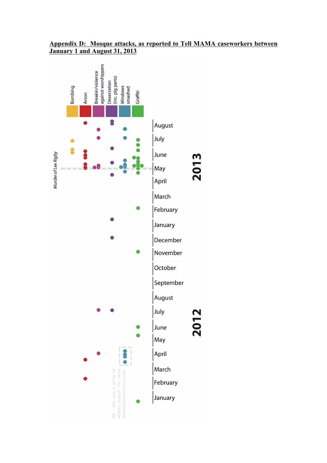## **Appendix D: Mosque attacks, as reported to Tell MAMA caseworkers between January 1 and August 31, 2013**